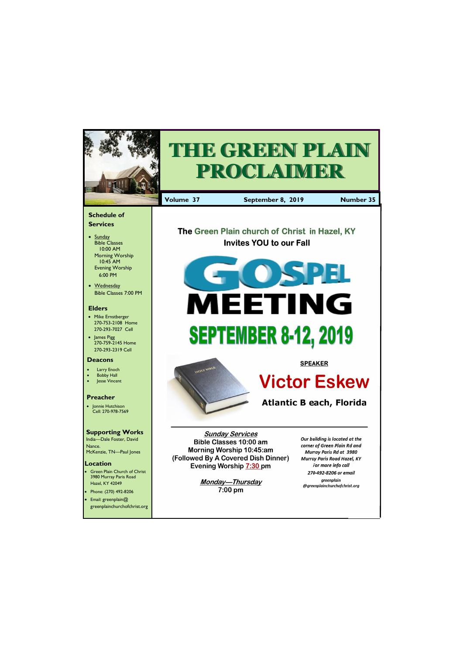Email: greenplain@ greenplainchurchofchrist.org

Hazel, KY 42049 • Phone: (270) 492-8206



 $7:00 \text{ pm}$ 

greenplain @greenplainchurchofchrist.org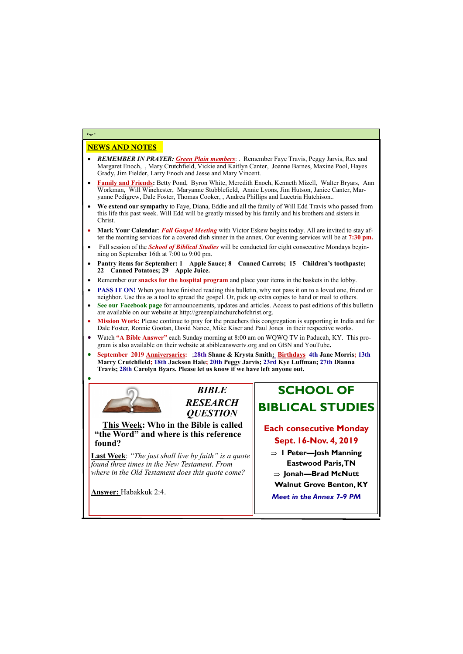# NEWS AND NOTES

- *REMEMBER IN PRAYER: Green Plain members*: . Remember Faye Travis, Peggy Jarvis, Rex and Margaret Enoch, , Mary Crutchfield, Vickie and Kaitlyn Canter, Joanne Barnes, Maxine Pool, Hayes Grady, Jim Fielder, Larry Enoch and Jesse and Mary Vincent.
- **Family and Friends:** Betty Pond, Byron White, Meredith Enoch, Kenneth Mizell, Walter Bryars, Ann Workman, Will Winchester, Maryanne Stubblefield, Annie Lyons, Jim Hutson, Janice Canter, Maryanne Pedigrew, Dale Foster, Thomas Cooker, , Andrea Phillips and Lucetria Hutchison..
- **We extend our sympathy** to Faye, Diana, Eddie and all the family of Will Edd Travis who passed from this life this past week. Will Edd will be greatly missed by his family and his brothers and sisters in Christ.
- **Mark Your Calendar**: *Fall Gospel Meeting* with Victor Eskew begins today. All are invited to stay after the morning services for a covered dish sinner in the annex. Our evening services will be at **7:30 pm.**
- Fall session of the *School of Biblical Studies* will be conducted for eight consecutive Mondays beginning on September 16th at 7:00 to 9:00 pm.
- **Pantry items for September: 1—Apple Sauce; 8—Canned Carrots; 15—Children's toothpaste; 22—Canned Potatoes; 29—Apple Juice.**
- Remember our **snacks for the hospital program** and place your items in the baskets in the lobby.
- **PASS IT ON!** When you have finished reading this bulletin, why not pass it on to a loved one, friend or neighbor. Use this as a tool to spread the gospel. Or, pick up extra copies to hand or mail to others.
- **See our Facebook page** for announcements, updates and articles. Access to past editions of this bulletin are available on our website at http://greenplainchurchofchrist.org.
- **Mission Work:** Please continue to pray for the preachers this congregation is supporting in India and for Dale Foster, Ronnie Gootan, David Nance, Mike Kiser and Paul Jones in their respective works.
- Watch **"A Bible Answer"** each Sunday morning at 8:00 am on WQWQ TV in Paducah, KY. This program is also available on their website at abibleanswertv.org and on GBN and YouTube**.**
- **September 2019 Anniversaries:** ;**28th Shane & Krysta Smith; Birthdays 4th Jane Morris; 13th Marry Crutchfield; 18th Jackson Hale; 20th Peggy Jarvis; 23rd Kye Luffman; 27th Dianna Travis; 28th Carolyn Byars. Please let us know if we have left anyone out.**



•

**Page 2**



**This Week: Who in the Bible is called "the Word" and where is this reference found?**

**Last Week**: *"The just shall live by faith" is a quote found three times in the New Testament. From where in the Old Testament does this quote come?*

**Answer:** Habakkuk 2:4.

# **SCHOOL OF BIBLICAL STUDIES**

## **Each consecutive Monday Sept. 16-Nov. 4, 2019**

- **1 Peter—Josh Manning Eastwood Paris, TN**
- **Jonah—Brad McNutt**
- **Walnut Grove Benton, KY**
- 

| $\mathbf{u}$ $\mathbf{v}$ $\mathbf{v}$ $\mathbf{u}$ $\mathbf{u}$ $\mathbf{v}$ $\mathbf{u}$ $\mathbf{v}$ $\mathbf{v}$ $\mathbf{v}$ $\mathbf{v}$ $\mathbf{v}$ $\mathbf{v}$ $\mathbf{v}$ $\mathbf{v}$ $\mathbf{v}$ $\mathbf{v}$ $\mathbf{v}$ $\mathbf{v}$ $\mathbf{v}$ $\mathbf{v}$ $\mathbf{v}$ $\mathbf{v}$ $\mathbf{v}$ $\mathbf{$ | <b>Meet in the Annex 7-9 PM</b> |
|------------------------------------------------------------------------------------------------------------------------------------------------------------------------------------------------------------------------------------------------------------------------------------------------------------------------------------|---------------------------------|
|                                                                                                                                                                                                                                                                                                                                    |                                 |
|                                                                                                                                                                                                                                                                                                                                    |                                 |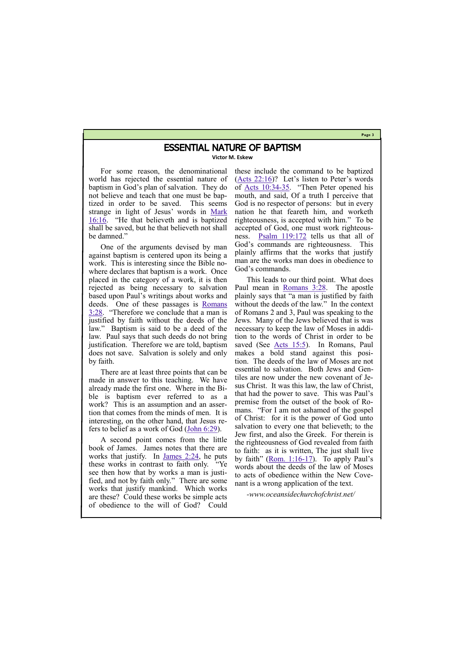#### **Page 3**

### ESSENTIAL NATURE OF BAPTISM

**Victor M. Eskew**

For some reason, the denominational world has rejected the essential nature of baptism in God's plan of salvation. They do not believe and teach that one must be baptized in order to be saved. This seems strange in light of Jesus' words in [Mark](https://biblia.com/bible/kjv1900/Mark%2016.16)  [16:16](https://biblia.com/bible/kjv1900/Mark%2016.16). "He that believeth and is baptized shall be saved, but he that believeth not shall be damned."

One of the arguments devised by man against baptism is centered upon its being a work. This is interesting since the Bible nowhere declares that baptism is a work. Once placed in the category of a work, it is then rejected as being necessary to salvation based upon Paul's writings about works and deeds. One of these passages is [Romans](https://biblia.com/bible/kjv1900/Rom%203.28)  [3:28](https://biblia.com/bible/kjv1900/Rom%203.28). "Therefore we conclude that a man is justified by faith without the deeds of the law." Baptism is said to be a deed of the law. Paul says that such deeds do not bring justification. Therefore we are told, baptism does not save. Salvation is solely and only by faith.

There are at least three points that can be made in answer to this teaching. We have already made the first one. Where in the Bible is baptism ever referred to as a work? This is an assumption and an assertion that comes from the minds of men. It is interesting, on the other hand, that Jesus refers to belief as a work of God [\(John 6:29\)](https://biblia.com/bible/kjv1900/John%206.29).

A second point comes from the little book of James. James notes that there are works that justify. In [James 2:24,](https://biblia.com/bible/kjv1900/James%202.24) he puts these works in contrast to faith only. "Ye see then how that by works a man is justified, and not by faith only." There are some works that justify mankind. Which works

are these? Could these works be simple acts of obedience to the will of God? Could

these include the command to be baptized ([Acts 22:16\)](https://biblia.com/bible/kjv1900/Acts%2022.16)? Let's listen to Peter's words of [Acts 10:34](https://biblia.com/bible/kjv1900/Acts%2010.34-35)-35. "Then Peter opened his mouth, and said, Of a truth I perceive that God is no respector of persons: but in every nation he that feareth him, and worketh righteousness, is accepted with him." To be accepted of God, one must work righteousness. [Psalm 119:172](https://biblia.com/bible/kjv1900/Ps%20119.172) tells us that all of God's commands are righteousness. This plainly affirms that the works that justify man are the works man does in obedience to God's commands.

This leads to our third point. What does Paul mean in [Romans 3:28.](https://biblia.com/bible/kjv1900/Rom%203.28) The apostle plainly says that "a man is justified by faith without the deeds of the law." In the context of Romans 2 and 3, Paul was speaking to the Jews. Many of the Jews believed that is was necessary to keep the law of Moses in addition to the words of Christ in order to be saved (See [Acts 15:5\).](https://biblia.com/bible/kjv1900/Acts%2015.5) In Romans, Paul makes a bold stand against this position. The deeds of the law of Moses are not essential to salvation. Both Jews and Gentiles are now under the new covenant of Jesus Christ. It was this law, the law of Christ, that had the power to save. This was Paul's premise from the outset of the book of Romans. "For I am not ashamed of the gospel of Christ: for it is the power of God unto salvation to every one that believeth; to the Jew first, and also the Greek. For therein is the righteousness of God revealed from faith to faith: as it is written, The just shall live by faith" (Rom.  $1:16-17$ ). To apply Paul's words about the deeds of the law of Moses to acts of obedience within the New Covenant is a wrong application of the text.

*-www.oceansidechurchofchrist.net/*